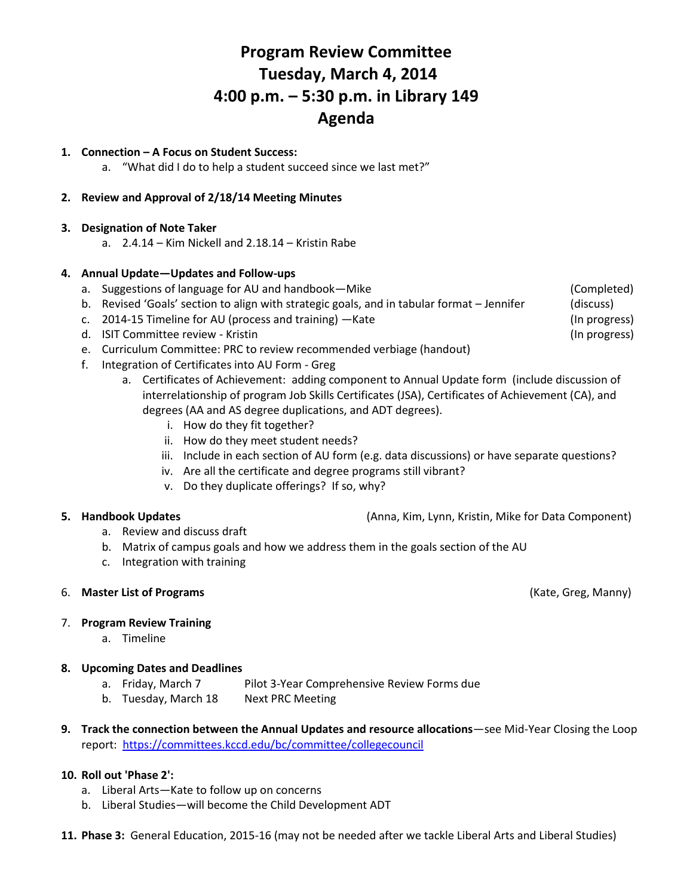# **Program Review Committee Tuesday, March 4, 2014 4:00 p.m. – 5:30 p.m. in Library 149 Agenda**

# **1. Connection – A Focus on Student Success:**

a. "What did I do to help a student succeed since we last met?"

# **2. Review and Approval of 2/18/14 Meeting Minutes**

### **3. Designation of Note Taker**

a. 2.4.14 – Kim Nickell and 2.18.14 – Kristin Rabe

# **4. Annual Update—Updates and Follow-ups**

- a. Suggestions of language for AU and handbook—Mike (Completed)
- b. Revised 'Goals' section to align with strategic goals, and in tabular format Jennifer (discuss)
- c. 2014-15 Timeline for AU (process and training) —Kate (In progress) (In progress)
- d. ISIT Committee review Kristin Committee review Kristin Committee review Kristin Committee review Kristin
- e. Curriculum Committee: PRC to review recommended verbiage (handout)
- f. Integration of Certificates into AU Form Greg
	- a. Certificates of Achievement: adding component to Annual Update form (include discussion of interrelationship of program Job Skills Certificates (JSA), Certificates of Achievement (CA), and degrees (AA and AS degree duplications, and ADT degrees).
		- i. How do they fit together?
		- ii. How do they meet student needs?
		- iii. Include in each section of AU form (e.g. data discussions) or have separate questions?
		- iv. Are all the certificate and degree programs still vibrant?
		- v. Do they duplicate offerings? If so, why?

- a. Review and discuss draft
- b. Matrix of campus goals and how we address them in the goals section of the AU
- c. Integration with training

# 6. **Master List of Programs** (Kate, Greg, Manny)

#### 7. **Program Review Training**

a. Timeline

# **8. Upcoming Dates and Deadlines**

- a. Friday, March 7 Pilot 3-Year Comprehensive Review Forms due
- b. Tuesday, March 18 Next PRC Meeting
- **9. Track the connection between the Annual Updates and resource allocations**—see Mid-Year Closing the Loop report: <https://committees.kccd.edu/bc/committee/collegecouncil>

#### **10. Roll out 'Phase 2':**

- a. Liberal Arts—Kate to follow up on concerns
- b. Liberal Studies—will become the Child Development ADT
- **11. Phase 3:** General Education, 2015-16 (may not be needed after we tackle Liberal Arts and Liberal Studies)

**5. Handbook Updates** (Anna, Kim, Lynn, Kristin, Mike for Data Component)